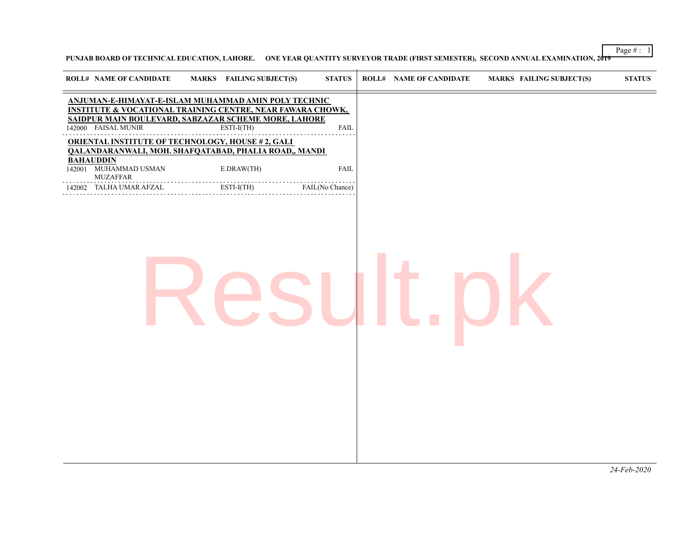Page # : 1

**PUNJAB BOARD OF TECHNICAL EDUCATION, LAHORE. ONE YEAR QUANTITY SURVEYOR TRADE (FIRST SEMESTER), SECOND ANNUAL EXAMINATION, 2019**

| <b>ROLL# NAME OF CANDIDATE</b>                               | MARKS FAILING SUBJECT(S)                                                                                                                                                                            | <b>STATUS</b>   | <b>ROLL# NAME OF CANDIDATE</b> | <b>MARKS FAILING SUBJECT(S)</b> | <b>STATUS</b> |
|--------------------------------------------------------------|-----------------------------------------------------------------------------------------------------------------------------------------------------------------------------------------------------|-----------------|--------------------------------|---------------------------------|---------------|
| 142000 FAISAL MUNIR                                          | ANJUMAN-E-HIMAYAT-E-ISLAM MUHAMMAD AMIN POLY TECHNIC<br><b>INSTITUTE &amp; VOCATIONAL TRAINING CENTRE, NEAR FAWARA CHOWK,</b><br>SAIDPUR MAIN BOULEVARD, SABZAZAR SCHEME MORE, LAHORE<br>ESTI-I(TH) | <b>FAIL</b>     |                                |                                 |               |
|                                                              | <b>ORIENTAL INSTITUTE OF TECHNOLOGY, HOUSE #2, GALI</b><br>QALANDARANWALI, MOH. SHAFQATABAD, PHALIA ROAD,, MANDI                                                                                    |                 |                                |                                 |               |
| <b>BAHAUDDIN</b><br>142001 MUHAMMAD USMAN<br><b>MUZAFFAR</b> | E.DRAW(TH)                                                                                                                                                                                          | ${\rm FAIL}$    |                                |                                 |               |
| 142002 TALHA UMAR AFZAL                                      | .<br>.<br>ESTI-I(TH)                                                                                                                                                                                | FAIL(No Chance) |                                |                                 |               |
|                                                              |                                                                                                                                                                                                     |                 |                                |                                 |               |
|                                                              |                                                                                                                                                                                                     |                 |                                |                                 |               |
|                                                              |                                                                                                                                                                                                     |                 |                                |                                 |               |
|                                                              |                                                                                                                                                                                                     |                 |                                |                                 | 24-Feb-2020   |